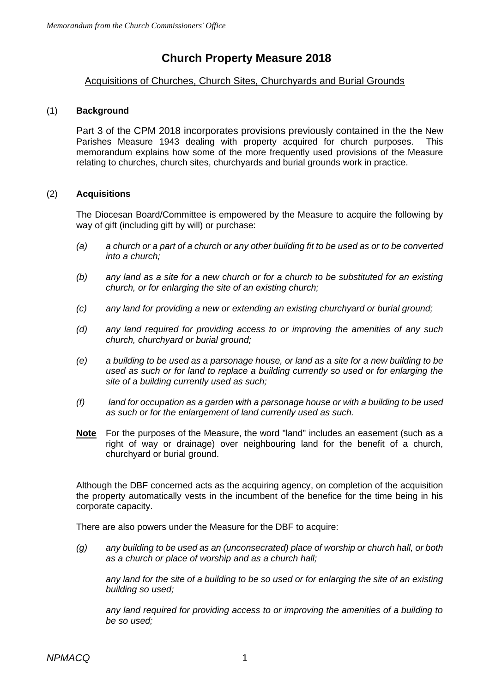# **Church Property Measure 2018**

## Acquisitions of Churches, Church Sites, Churchyards and Burial Grounds

#### (1) **Background**

Part 3 of the CPM 2018 incorporates provisions previously contained in the the New Parishes Measure 1943 dealing with property acquired for church purposes. This memorandum explains how some of the more frequently used provisions of the Measure relating to churches, church sites, churchyards and burial grounds work in practice.

#### (2) **Acquisitions**

The Diocesan Board/Committee is empowered by the Measure to acquire the following by way of gift (including gift by will) or purchase:

- *(a) a church or a part of a church or any other building fit to be used as or to be converted into a church;*
- *(b) any land as a site for a new church or for a church to be substituted for an existing church, or for enlarging the site of an existing church;*
- *(c) any land for providing a new or extending an existing churchyard or burial ground;*
- *(d) any land required for providing access to or improving the amenities of any such church, churchyard or burial ground;*
- *(e) a building to be used as a parsonage house, or land as a site for a new building to be used as such or for land to replace a building currently so used or for enlarging the site of a building currently used as such;*
- *(f) land for occupation as a garden with a parsonage house or with a building to be used as such or for the enlargement of land currently used as such.*
- **Note** For the purposes of the Measure, the word "land" includes an easement (such as a right of way or drainage) over neighbouring land for the benefit of a church, churchyard or burial ground.

Although the DBF concerned acts as the acquiring agency, on completion of the acquisition the property automatically vests in the incumbent of the benefice for the time being in his corporate capacity.

There are also powers under the Measure for the DBF to acquire:

*(g) any building to be used as an (unconsecrated) place of worship or church hall, or both as a church or place of worship and as a church hall;*

*any land for the site of a building to be so used or for enlarging the site of an existing building so used;*

*any land required for providing access to or improving the amenities of a building to be so used;*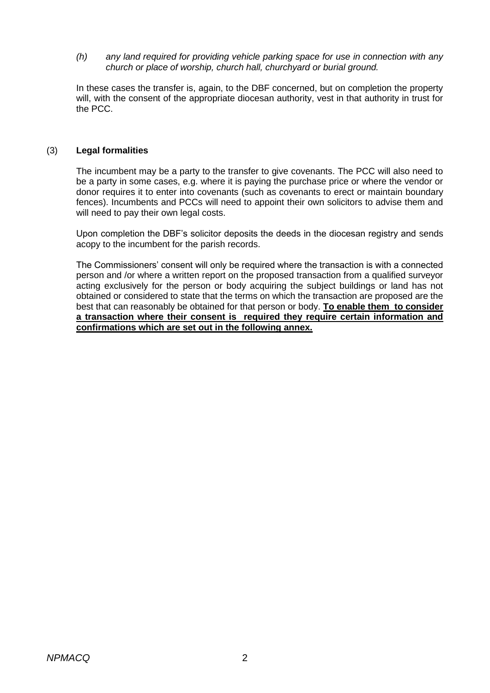*(h) any land required for providing vehicle parking space for use in connection with any church or place of worship, church hall, churchyard or burial ground.*

In these cases the transfer is, again, to the DBF concerned, but on completion the property will, with the consent of the appropriate diocesan authority, vest in that authority in trust for the PCC.

#### (3) **Legal formalities**

The incumbent may be a party to the transfer to give covenants. The PCC will also need to be a party in some cases, e.g. where it is paying the purchase price or where the vendor or donor requires it to enter into covenants (such as covenants to erect or maintain boundary fences). Incumbents and PCCs will need to appoint their own solicitors to advise them and will need to pay their own legal costs.

Upon completion the DBF's solicitor deposits the deeds in the diocesan registry and sends acopy to the incumbent for the parish records.

The Commissioners' consent will only be required where the transaction is with a connected person and /or where a written report on the proposed transaction from a qualified surveyor acting exclusively for the person or body acquiring the subject buildings or land has not obtained or considered to state that the terms on which the transaction are proposed are the best that can reasonably be obtained for that person or body. **To enable them to consider a transaction where their consent is required they require certain information and confirmations which are set out in the following annex.**